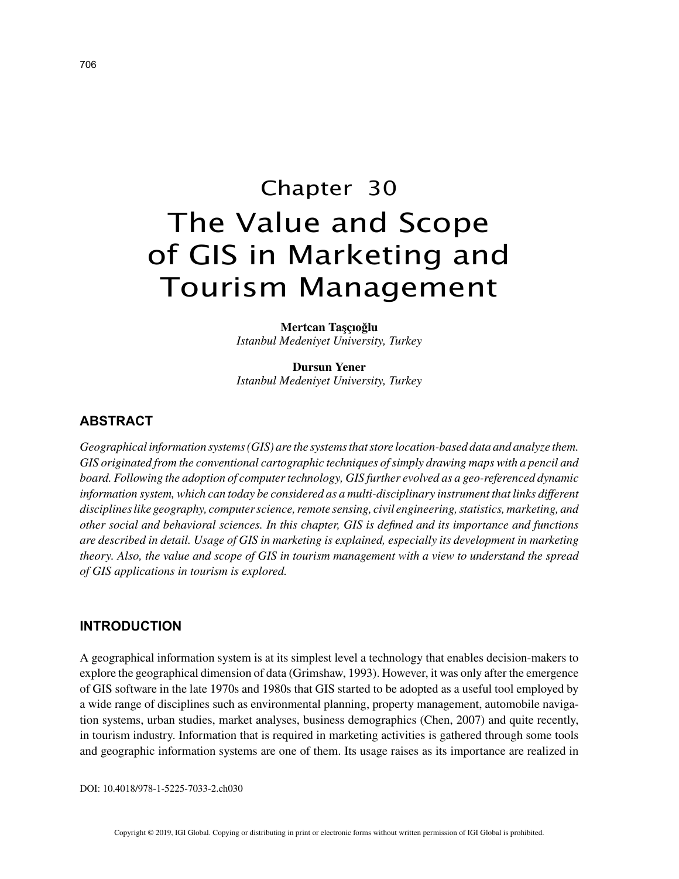# Chapter 30 The Value and Scope of GIS in Marketing and Tourism Management

**Mertcan Taşçıoğlu** *Istanbul Medeniyet University, Turkey*

**Dursun Yener** *Istanbul Medeniyet University, Turkey*

# **ABSTRACT**

*Geographical information systems (GIS) are the systems that store location-based data and analyze them. GIS originated from the conventional cartographic techniques of simply drawing maps with a pencil and board. Following the adoption of computer technology, GIS further evolved as a geo-referenced dynamic information system, which can today be considered as a multi-disciplinary instrument that links different disciplines like geography, computer science, remote sensing, civil engineering, statistics, marketing, and other social and behavioral sciences. In this chapter, GIS is defined and its importance and functions are described in detail. Usage of GIS in marketing is explained, especially its development in marketing theory. Also, the value and scope of GIS in tourism management with a view to understand the spread of GIS applications in tourism is explored.*

#### **INTRODUCTION**

A geographical information system is at its simplest level a technology that enables decision-makers to explore the geographical dimension of data (Grimshaw, 1993). However, it was only after the emergence of GIS software in the late 1970s and 1980s that GIS started to be adopted as a useful tool employed by a wide range of disciplines such as environmental planning, property management, automobile navigation systems, urban studies, market analyses, business demographics (Chen, 2007) and quite recently, in tourism industry. Information that is required in marketing activities is gathered through some tools and geographic information systems are one of them. Its usage raises as its importance are realized in

DOI: 10.4018/978-1-5225-7033-2.ch030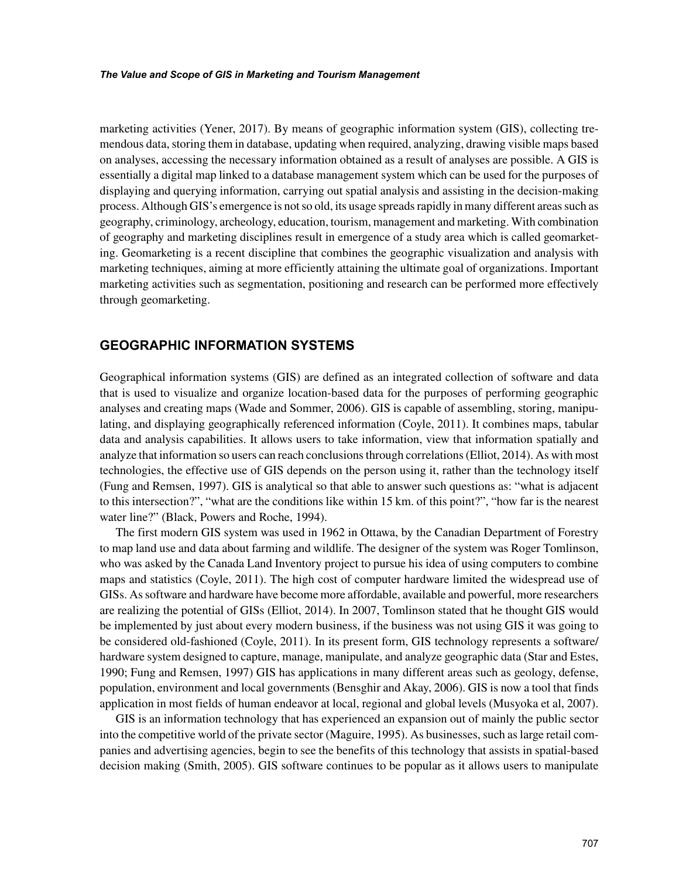marketing activities (Yener, 2017). By means of geographic information system (GIS), collecting tremendous data, storing them in database, updating when required, analyzing, drawing visible maps based on analyses, accessing the necessary information obtained as a result of analyses are possible. A GIS is essentially a digital map linked to a database management system which can be used for the purposes of displaying and querying information, carrying out spatial analysis and assisting in the decision-making process. Although GIS's emergence is not so old, its usage spreads rapidly in many different areas such as geography, criminology, archeology, education, tourism, management and marketing. With combination of geography and marketing disciplines result in emergence of a study area which is called geomarketing. Geomarketing is a recent discipline that combines the geographic visualization and analysis with marketing techniques, aiming at more efficiently attaining the ultimate goal of organizations. Important marketing activities such as segmentation, positioning and research can be performed more effectively through geomarketing.

## **GEOGRAPHIC INFORMATION SYSTEMS**

Geographical information systems (GIS) are defined as an integrated collection of software and data that is used to visualize and organize location-based data for the purposes of performing geographic analyses and creating maps (Wade and Sommer, 2006). GIS is capable of assembling, storing, manipulating, and displaying geographically referenced information (Coyle, 2011). It combines maps, tabular data and analysis capabilities. It allows users to take information, view that information spatially and analyze that information so users can reach conclusions through correlations (Elliot, 2014). As with most technologies, the effective use of GIS depends on the person using it, rather than the technology itself (Fung and Remsen, 1997). GIS is analytical so that able to answer such questions as: "what is adjacent to this intersection?", "what are the conditions like within 15 km. of this point?", "how far is the nearest water line?" (Black, Powers and Roche, 1994).

The first modern GIS system was used in 1962 in Ottawa, by the Canadian Department of Forestry to map land use and data about farming and wildlife. The designer of the system was Roger Tomlinson, who was asked by the Canada Land Inventory project to pursue his idea of using computers to combine maps and statistics (Coyle, 2011). The high cost of computer hardware limited the widespread use of GISs. As software and hardware have become more affordable, available and powerful, more researchers are realizing the potential of GISs (Elliot, 2014). In 2007, Tomlinson stated that he thought GIS would be implemented by just about every modern business, if the business was not using GIS it was going to be considered old-fashioned (Coyle, 2011). In its present form, GIS technology represents a software/ hardware system designed to capture, manage, manipulate, and analyze geographic data (Star and Estes, 1990; Fung and Remsen, 1997) GIS has applications in many different areas such as geology, defense, population, environment and local governments (Bensghir and Akay, 2006). GIS is now a tool that finds application in most fields of human endeavor at local, regional and global levels (Musyoka et al, 2007).

GIS is an information technology that has experienced an expansion out of mainly the public sector into the competitive world of the private sector (Maguire, 1995). As businesses, such as large retail companies and advertising agencies, begin to see the benefits of this technology that assists in spatial-based decision making (Smith, 2005). GIS software continues to be popular as it allows users to manipulate